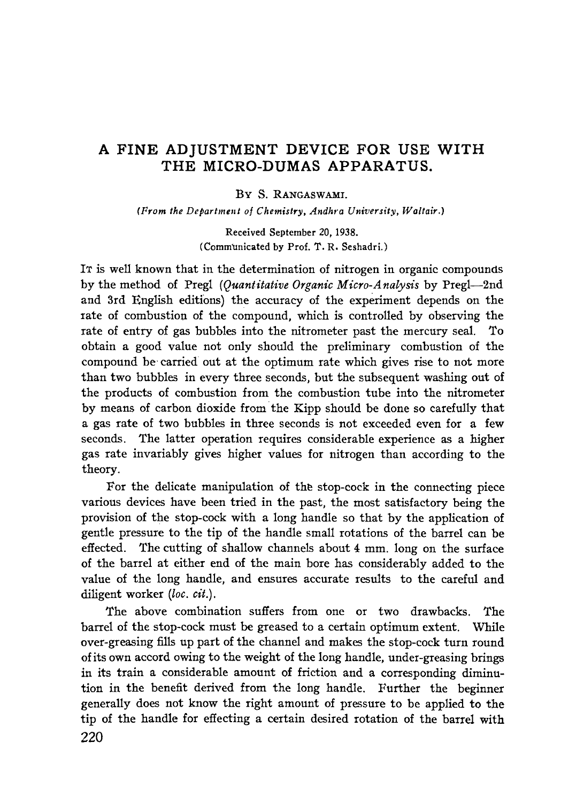## **A FINE ADJUSTMENT DEVICE FOR USE WITH THE MICRO-DUMAS APPARATUS.**

## BY S. RANGASWAMI.

*(From the Deparhnent of Chemistry, Andhra University, Waltair.)* 

Received September 20, 1938. (Communicated by Prof. T. R. Seshadri.)

IT is well known that in the determination of nitrogen in organie eompounds by the method of Pregl *(Quantitative Organic Micro-Analysis* by Pregl--2nd and 3rd English editions) the accuracy of the experiment depends on the rate of combustion of the compound, which is controlled by observing the rate of entry of gas bubbles into the nitrometer past the mercury seal. To obtain a good value not only should the preliminary combustion of the compound be earried out at the optimum rate which gives rise to not more than two bubbles in every three seeonds, but the subsequent washing out of the produets of eombustion from the eombustion tube into the nitrometer by means of carbon dioxide from the Kipp should be done so earefully that a gas rate of two bubbles in three seeonds is not exceeded even for a few seconds. The latter operation requires considerable experience as a higher gas rate invariably gives higher values for nitrogen than according to the theory.

For the delicate manipulation of the stop-cock in the connecting piece various deviees have been tried in the past, the most satisfaetory being the provision of the stop-cock with a long handle so that by the application of gentle pressure to the tip of the handle small rotations of the barrel can be effected. The eutting of shallow ehannels about 4 mm. long on the surfaee of the barrel at either end of the main bore has eonsiderably added to the value of the long handle, and ensures accurate results to the careful and diligent worker *(loc. cit.).* 

The above eombination suffers from one or two drawbaeks. The barrel of the stop-cock must be greased to a certain optimum extent. While over-greasing fills up part of the ehannel and makes the stop-coek turn round of its own accord owing to the weight of the long handle, under-greasing brings in its train a considerable amount of friction and a corresponding diminution in the benefit derived from the long handle. Further the beginner generaUy does not know the right amount of pressure to be applied to the tip of the handle for effeeting a eertain desired rotation of the barrel with 220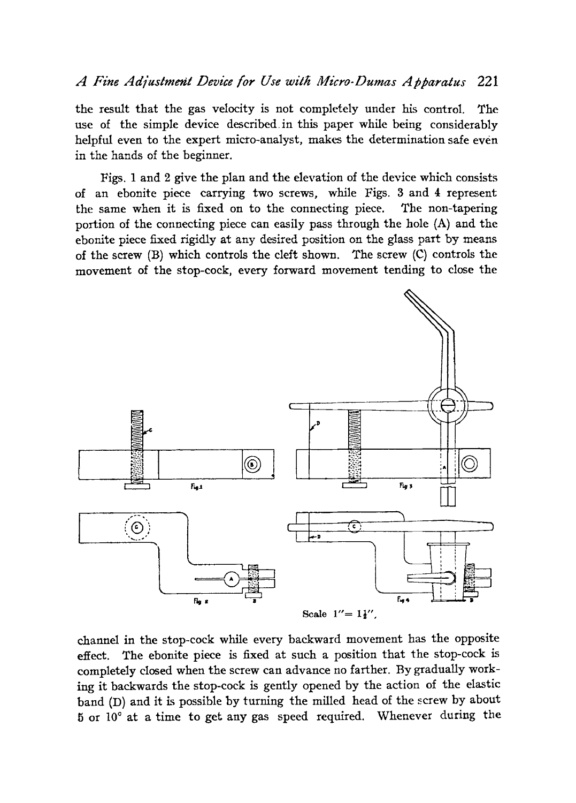the result that the gas velocity is not completely under his control. The use of the simple device described in this paper while being considerably helpful even to the expert micro-analyst, makes the determination safe even in the hands of the beginner.

Figs. 1 and 2 give the plan and the elevation of the device which consists of ah ebonite piece carrying two screws, while Figs. 3 and 4 represent the same when it is fixed on to the connecting piece. The non-tapering portion of the connecting piece can easily pass through the hole (A) and the ebonite piece fixed rigidly at any desired position on the glass part by means of the serew (B) which eontrols the cleft shown. The serew (C) controls the movement of the stop-eock, every forward movement tending to close the



channel in the stop-cock while every backward movement has the opposite effect. The ebonite piece is fixed at such a position that the stop-cock is completely closed when the screw can advance no farther. By gradually working it backwards the stop-cock is gently opened by the action of the elastic band (D) and it is possible by turning the milled head of the screw by about  $5$  or  $10^{\circ}$  at a time to get any gas speed required. Whenever during the